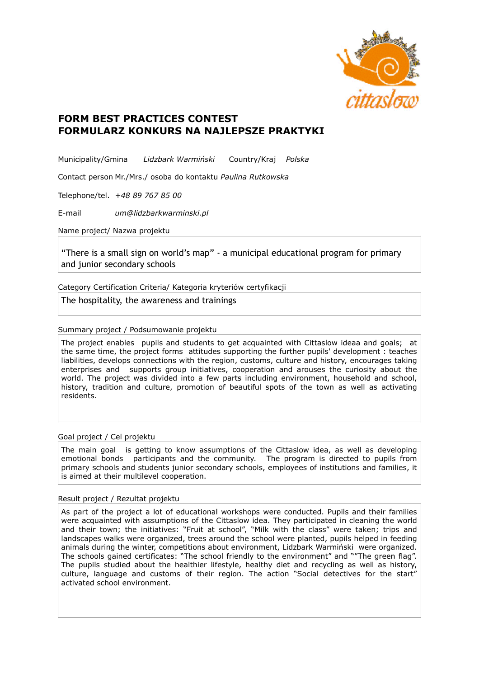

## **FORM BEST PRACTICES CONTEST FORMULARZ KONKURS NA NAJLEPSZE PRAKTYKI**

Municipality/Gmina *Lidzbark Warmiński* Country/Kraj *Polska*

Contact person Mr./Mrs./ osoba do kontaktu *Paulina Rutkowska*

Telephone/tel. *+48 89 767 85 00*

E-mail *um@lidzbarkwarminski.pl*

Name project/ Nazwa projektu

"There is a small sign on world's map" - a municipal educational program for primary and junior secondary schools

Category Certification Criteria/ Kategoria kryteriów certyfikacji

The hospitality, the awareness and trainings

Summary project / Podsumowanie projektu

The project enables pupils and students to get acquainted with Cittaslow ideaa and goals; at the same time, the project forms attitudes supporting the further pupils' development : teaches liabilities, develops connections with the region, customs, culture and history, encourages taking enterprises and supports group initiatives, cooperation and arouses the curiosity about the world. The project was divided into a few parts including environment, household and school, history, tradition and culture, promotion of beautiful spots of the town as well as activating residents.

Goal project / Cel projektu

The main goal is getting to know assumptions of the Cittaslow idea, as well as developing emotional bonds participants and the community. The program is directed to pupils from primary schools and students junior secondary schools, employees of institutions and families, it is aimed at their multilevel cooperation.

## Result project / Rezultat projektu

As part of the project a lot of educational workshops were conducted. Pupils and their families were acquainted with assumptions of the Cittaslow idea. They participated in cleaning the world and their town; the initiatives: "Fruit at school", "Milk with the class" were taken; trips and landscapes walks were organized, trees around the school were planted, pupils helped in feeding animals during the winter, competitions about environment, Lidzbark Warmiński were organized. The schools gained certificates: "The school friendly to the environment" and ""The green flag". The pupils studied about the healthier lifestyle, healthy diet and recycling as well as history, culture, language and customs of their region. The action "Social detectives for the start" activated school environment.